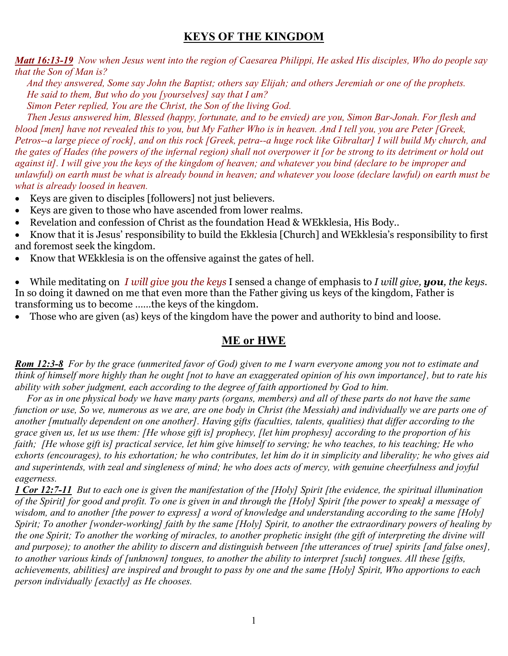# **KEYS OF THE KINGDOM**

*Matt 16:13-19 Now when Jesus went into the region of Caesarea Philippi, He asked His disciples, Who do people say that the Son of Man is?* 

 *And they answered, Some say John the Baptist; others say Elijah; and others Jeremiah or one of the prophets. He said to them, But who do you [yourselves] say that I am?* 

 *Simon Peter replied, You are the Christ, the Son of the living God.* 

 *Then Jesus answered him, Blessed (happy, fortunate, and to be envied) are you, Simon Bar-Jonah. For flesh and blood [men] have not revealed this to you, but My Father Who is in heaven. And I tell you, you are Peter [Greek, Petros--a large piece of rock], and on this rock [Greek, petra--a huge rock like Gibraltar] I will build My church, and the gates of Hades (the powers of the infernal region) shall not overpower it [or be strong to its detriment or hold out against it]. I will give you the keys of the kingdom of heaven; and whatever you bind (declare to be improper and unlawful) on earth must be what is already bound in heaven; and whatever you loose (declare lawful) on earth must be what is already loosed in heaven.* 

- Keys are given to disciples [followers] not just believers.
- Keys are given to those who have ascended from lower realms.
- Revelation and confession of Christ as the foundation Head & WEkklesia, His Body..
- Know that it is Jesus' responsibility to build the Ekklesia [Church] and WEkklesia's responsibility to first and foremost seek the kingdom.
- Know that WEkklesia is on the offensive against the gates of hell.
- While meditating on *I will give you the keys* I sensed a change of emphasis to *I will give, you, the keys*. In so doing it dawned on me that even more than the Father giving us keys of the kingdom, Father is transforming us to become ……the keys of the kingdom.
- Those who are given (as) keys of the kingdom have the power and authority to bind and loose.

## **ME or HWE**

*Rom 12:3-8 For by the grace (unmerited favor of God) given to me I warn everyone among you not to estimate and think of himself more highly than he ought [not to have an exaggerated opinion of his own importance], but to rate his ability with sober judgment, each according to the degree of faith apportioned by God to him.* 

 *For as in one physical body we have many parts (organs, members) and all of these parts do not have the same function or use, So we, numerous as we are, are one body in Christ (the Messiah) and individually we are parts one of another [mutually dependent on one another]. Having gifts (faculties, talents, qualities) that differ according to the grace given us, let us use them: [He whose gift is] prophecy, [let him prophesy] according to the proportion of his faith; [He whose gift is] practical service, let him give himself to serving; he who teaches, to his teaching; He who exhorts (encourages), to his exhortation; he who contributes, let him do it in simplicity and liberality; he who gives aid and superintends, with zeal and singleness of mind; he who does acts of mercy, with genuine cheerfulness and joyful eagerness.* 

*1 Cor 12:7-11 But to each one is given the manifestation of the [Holy] Spirit [the evidence, the spiritual illumination of the Spirit] for good and profit. To one is given in and through the [Holy] Spirit [the power to speak] a message of wisdom, and to another [the power to express] a word of knowledge and understanding according to the same [Holy] Spirit; To another [wonder-working] faith by the same [Holy] Spirit, to another the extraordinary powers of healing by the one Spirit; To another the working of miracles, to another prophetic insight (the gift of interpreting the divine will and purpose); to another the ability to discern and distinguish between [the utterances of true] spirits [and false ones], to another various kinds of [unknown] tongues, to another the ability to interpret [such] tongues. All these [gifts, achievements, abilities] are inspired and brought to pass by one and the same [Holy] Spirit, Who apportions to each person individually [exactly] as He chooses.*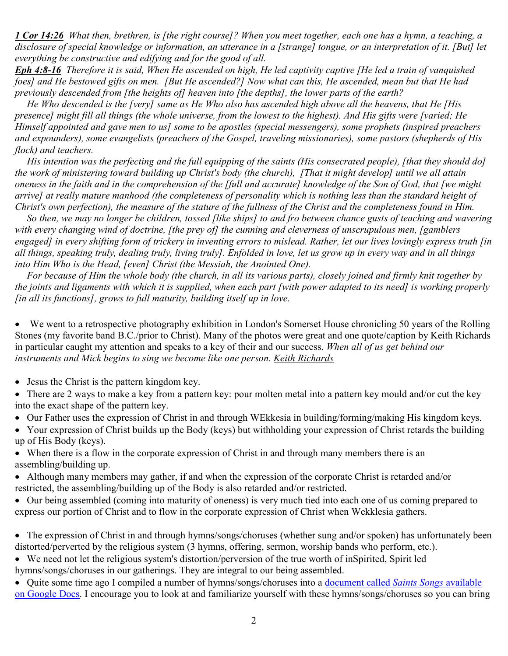*1 Cor 14:26 What then, brethren, is [the right course]? When you meet together, each one has a hymn, a teaching, a disclosure of special knowledge or information, an utterance in a [strange] tongue, or an interpretation of it. [But] let everything be constructive and edifying and for the good of all.* 

*Eph 4:8-16 Therefore it is said, When He ascended on high, He led captivity captive [He led a train of vanquished foes] and He bestowed gifts on men. [But He ascended?] Now what can this, He ascended, mean but that He had previously descended from [the heights of] heaven into [the depths], the lower parts of the earth?* 

 *He Who descended is the [very] same as He Who also has ascended high above all the heavens, that He [His presence] might fill all things (the whole universe, from the lowest to the highest). And His gifts were [varied; He Himself appointed and gave men to us] some to be apostles (special messengers), some prophets (inspired preachers and expounders), some evangelists (preachers of the Gospel, traveling missionaries), some pastors (shepherds of His flock) and teachers.* 

 *His intention was the perfecting and the full equipping of the saints (His consecrated people), [that they should do] the work of ministering toward building up Christ's body (the church), [That it might develop] until we all attain oneness in the faith and in the comprehension of the [full and accurate] knowledge of the Son of God, that [we might arrive] at really mature manhood (the completeness of personality which is nothing less than the standard height of Christ's own perfection), the measure of the stature of the fullness of the Christ and the completeness found in Him.* 

 *So then, we may no longer be children, tossed [like ships] to and fro between chance gusts of teaching and wavering with every changing wind of doctrine, [the prey of] the cunning and cleverness of unscrupulous men, [gamblers engaged] in every shifting form of trickery in inventing errors to mislead. Rather, let our lives lovingly express truth [in all things, speaking truly, dealing truly, living truly]. Enfolded in love, let us grow up in every way and in all things into Him Who is the Head, [even] Christ (the Messiah, the Anointed One).* 

 *For because of Him the whole body (the church, in all its various parts), closely joined and firmly knit together by the joints and ligaments with which it is supplied, when each part [with power adapted to its need] is working properly [in all its functions], grows to full maturity, building itself up in love.* 

• We went to a retrospective photography exhibition in London's Somerset House chronicling 50 years of the Rolling Stones (my favorite band B.C./prior to Christ). Many of the photos were great and one quote/caption by Keith Richards in particular caught my attention and speaks to a key of their and our success. *When all of us get behind our instruments and Mick begins to sing we become like one person. Keith Richards*

- Jesus the Christ is the pattern kingdom key.
- There are 2 ways to make a key from a pattern key: pour molten metal into a pattern key mould and/or cut the key into the exact shape of the pattern key.
- Our Father uses the expression of Christ in and through WEkkesia in building/forming/making His kingdom keys.
- Your expression of Christ builds up the Body (keys) but withholding your expression of Christ retards the building up of His Body (keys).
- When there is a flow in the corporate expression of Christ in and through many members there is an assembling/building up.
- Although many members may gather, if and when the expression of the corporate Christ is retarded and/or restricted, the assembling/building up of the Body is also retarded and/or restricted.
- Our being assembled (coming into maturity of oneness) is very much tied into each one of us coming prepared to express our portion of Christ and to flow in the corporate expression of Christ when Wekklesia gathers.
- The expression of Christ in and through hymns/songs/choruses (whether sung and/or spoken) has unfortunately been distorted/perverted by the religious system (3 hymns, offering, sermon, worship bands who perform, etc.).
- We need not let the religious system's distortion/perversion of the true worth of inSpirited, Spirit led hymns/songs/choruses in our gatherings. They are integral to our being assembled.
- Quite some time ago I compiled a number of hymns/songs/choruses into a document called *Saints Songs* available on Google Docs. I encourage you to look at and familiarize yourself with these hymns/songs/choruses so you can bring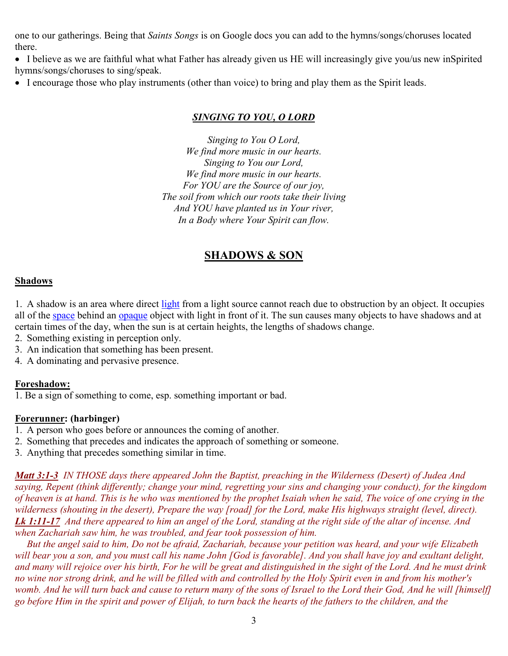one to our gatherings. Being that *Saints Songs* is on Google docs you can add to the hymns/songs/choruses located there.

- I believe as we are faithful what what Father has already given us HE will increasingly give you/us new inSpirited hymns/songs/choruses to sing/speak.
- I encourage those who play instruments (other than voice) to bring and play them as the Spirit leads.

## *SINGING TO YOU, O LORD*

*Singing to You O Lord, We find more music in our hearts. Singing to You our Lord, We find more music in our hearts. For YOU are the Source of our joy, The soil from which our roots take their living And YOU have planted us in Your river, In a Body where Your Spirit can flow.* 

## **SHADOWS & SON**

#### **Shadows**

1. A shadow is an area where direct light from a light source cannot reach due to obstruction by an object. It occupies all of the space behind an opaque object with light in front of it. The sun causes many objects to have shadows and at certain times of the day, when the sun is at certain heights, the lengths of shadows change.

- 2. Something existing in perception only.
- 3. An indication that something has been present.
- 4. A dominating and pervasive presence.

#### **Foreshadow:**

1. Be a sign of something to come, esp. something important or bad.

#### **Forerunner: (harbinger)**

- 1. A person who goes before or announces the coming of another.
- 2. Something that precedes and indicates the approach of something or someone.
- 3. Anything that precedes something similar in time.

*Matt 3:1-3 IN THOSE days there appeared John the Baptist, preaching in the Wilderness (Desert) of Judea And saying, Repent (think differently; change your mind, regretting your sins and changing your conduct), for the kingdom of heaven is at hand. This is he who was mentioned by the prophet Isaiah when he said, The voice of one crying in the wilderness (shouting in the desert), Prepare the way [road] for the Lord, make His highways straight (level, direct). Lk 1:11-17 And there appeared to him an angel of the Lord, standing at the right side of the altar of incense. And when Zachariah saw him, he was troubled, and fear took possession of him.* 

 *But the angel said to him, Do not be afraid, Zachariah, because your petition was heard, and your wife Elizabeth will bear you a son, and you must call his name John [God is favorable]. And you shall have joy and exultant delight, and many will rejoice over his birth, For he will be great and distinguished in the sight of the Lord. And he must drink no wine nor strong drink, and he will be filled with and controlled by the Holy Spirit even in and from his mother's*  womb. And he will turn back and cause to return many of the sons of Israel to the Lord their God, And he will [himself] *go before Him in the spirit and power of Elijah, to turn back the hearts of the fathers to the children, and the*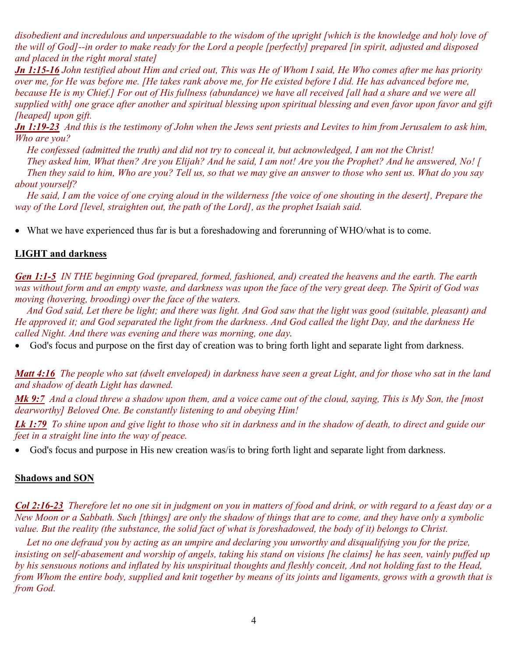*disobedient and incredulous and unpersuadable to the wisdom of the upright [which is the knowledge and holy love of the will of God]--in order to make ready for the Lord a people [perfectly] prepared [in spirit, adjusted and disposed and placed in the right moral state]* 

*Jn 1:15-16 John testified about Him and cried out, This was He of Whom I said, He Who comes after me has priority over me, for He was before me. [He takes rank above me, for He existed before I did. He has advanced before me, because He is my Chief.] For out of His fullness (abundance) we have all received [all had a share and we were all supplied with] one grace after another and spiritual blessing upon spiritual blessing and even favor upon favor and gift [heaped] upon gift.* 

*Jn 1:19-23 And this is the testimony of John when the Jews sent priests and Levites to him from Jerusalem to ask him, Who are you?* 

 *He confessed (admitted the truth) and did not try to conceal it, but acknowledged, I am not the Christ!* 

 *They asked him, What then? Are you Elijah? And he said, I am not! Are you the Prophet? And he answered, No! [ Then they said to him, Who are you? Tell us, so that we may give an answer to those who sent us. What do you say about yourself?* 

 *He said, I am the voice of one crying aloud in the wilderness [the voice of one shouting in the desert], Prepare the way of the Lord [level, straighten out, the path of the Lord], as the prophet Isaiah said.* 

• What we have experienced thus far is but a foreshadowing and forerunning of WHO/what is to come.

### **LIGHT and darkness**

*Gen 1:1-5 IN THE beginning God (prepared, formed, fashioned, and) created the heavens and the earth. The earth was without form and an empty waste, and darkness was upon the face of the very great deep. The Spirit of God was moving (hovering, brooding) over the face of the waters.* 

 *And God said, Let there be light; and there was light. And God saw that the light was good (suitable, pleasant) and He approved it; and God separated the light from the darkness. And God called the light Day, and the darkness He called Night. And there was evening and there was morning, one day.* 

• God's focus and purpose on the first day of creation was to bring forth light and separate light from darkness.

*Matt 4:16 The people who sat (dwelt enveloped) in darkness have seen a great Light, and for those who sat in the land and shadow of death Light has dawned.* 

*Mk 9:7 And a cloud threw a shadow upon them, and a voice came out of the cloud, saying, This is My Son, the [most dearworthy] Beloved One. Be constantly listening to and obeying Him!* 

*Lk 1:79 To shine upon and give light to those who sit in darkness and in the shadow of death, to direct and guide our feet in a straight line into the way of peace.* 

God's focus and purpose in His new creation was/is to bring forth light and separate light from darkness.

### **Shadows and SON**

*Col 2:16-23 Therefore let no one sit in judgment on you in matters of food and drink, or with regard to a feast day or a New Moon or a Sabbath. Such [things] are only the shadow of things that are to come, and they have only a symbolic*  value. But the reality (the substance, the solid fact of what is foreshadowed, the body of it) belongs to Christ.

 *Let no one defraud you by acting as an umpire and declaring you unworthy and disqualifying you for the prize, insisting on self-abasement and worship of angels, taking his stand on visions [he claims] he has seen, vainly puffed up by his sensuous notions and inflated by his unspiritual thoughts and fleshly conceit, And not holding fast to the Head, from Whom the entire body, supplied and knit together by means of its joints and ligaments, grows with a growth that is from God.*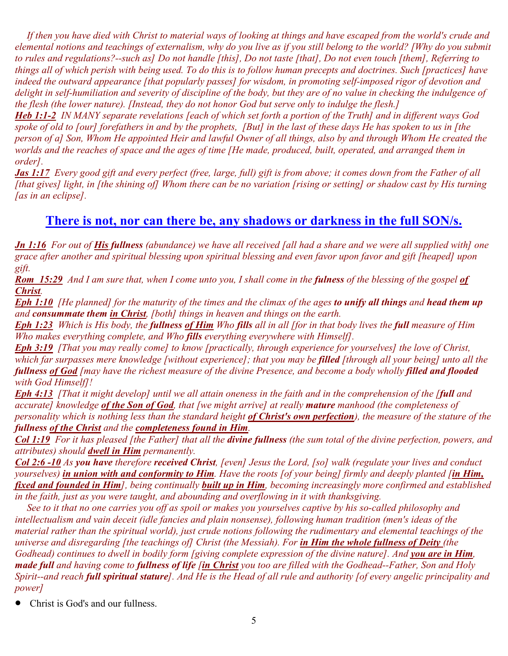*If then you have died with Christ to material ways of looking at things and have escaped from the world's crude and elemental notions and teachings of externalism, why do you live as if you still belong to the world? [Why do you submit to rules and regulations?--such as] Do not handle [this], Do not taste [that], Do not even touch [them], Referring to things all of which perish with being used. To do this is to follow human precepts and doctrines. Such [practices] have indeed the outward appearance [that popularly passes] for wisdom, in promoting self-imposed rigor of devotion and delight in self-humiliation and severity of discipline of the body, but they are of no value in checking the indulgence of the flesh (the lower nature). [Instead, they do not honor God but serve only to indulge the flesh.]* 

*Heb 1:1-2 IN MANY separate revelations [each of which set forth a portion of the Truth] and in different ways God spoke of old to [our] forefathers in and by the prophets, [But] in the last of these days He has spoken to us in [the person of a] Son, Whom He appointed Heir and lawful Owner of all things, also by and through Whom He created the worlds and the reaches of space and the ages of time [He made, produced, built, operated, and arranged them in order].* 

*Jas 1:17 Every good gift and every perfect (free, large, full) gift is from above; it comes down from the Father of all [that gives] light, in [the shining of] Whom there can be no variation [rising or setting] or shadow cast by His turning [as in an eclipse].* 

# **There is not, nor can there be, any shadows or darkness in the full SON/s.**

*Jn 1:16 For out of His fullness (abundance) we have all received [all had a share and we were all supplied with] one grace after another and spiritual blessing upon spiritual blessing and even favor upon favor and gift [heaped] upon gift.* 

*Rom\_15:29 And I am sure that, when I come unto you, I shall come in the fulness of the blessing of the gospel of Christ.* 

*Eph 1:10 [He planned] for the maturity of the times and the climax of the ages to unify all things and head them up and consummate them in Christ, [both] things in heaven and things on the earth.* 

*Eph 1:23 Which is His body, the fullness of Him Who fills all in all [for in that body lives the full measure of Him Who makes everything complete, and Who fills everything everywhere with Himself].* 

*Eph 3:19 [That you may really come] to know [practically, through experience for yourselves] the love of Christ, which far surpasses mere knowledge [without experience]; that you may be filled [through all your being] unto all the fullness of God [may have the richest measure of the divine Presence, and become a body wholly filled and flooded with God Himself]!* 

*Eph 4:13 [That it might develop] until we all attain oneness in the faith and in the comprehension of the [full and accurate] knowledge of the Son of God, that [we might arrive] at really mature manhood (the completeness of personality which is nothing less than the standard height of Christ's own perfection), the measure of the stature of the fullness of the Christ and the completeness found in Him.* 

*Col 1:19 For it has pleased [the Father] that all the divine fullness (the sum total of the divine perfection, powers, and attributes) should dwell in Him permanently.* 

*Col 2:6 -10 As you have therefore received Christ, [even] Jesus the Lord, [so] walk (regulate your lives and conduct yourselves) in union with and conformity to Him. Have the roots [of your being] firmly and deeply planted [in Him, fixed and founded in Him], being continually built up in Him, becoming increasingly more confirmed and established in the faith, just as you were taught, and abounding and overflowing in it with thanksgiving.* 

 *See to it that no one carries you off as spoil or makes you yourselves captive by his so-called philosophy and intellectualism and vain deceit (idle fancies and plain nonsense), following human tradition (men's ideas of the material rather than the spiritual world), just crude notions following the rudimentary and elemental teachings of the universe and disregarding [the teachings of] Christ (the Messiah). For in Him the whole fullness of Deity (the Godhead) continues to dwell in bodily form [giving complete expression of the divine nature]. And you are in Him, made full and having come to fullness of life [in Christ you too are filled with the Godhead--Father, Son and Holy Spirit--and reach full spiritual stature]. And He is the Head of all rule and authority [of every angelic principality and power]* 

• Christ is God's and our fullness.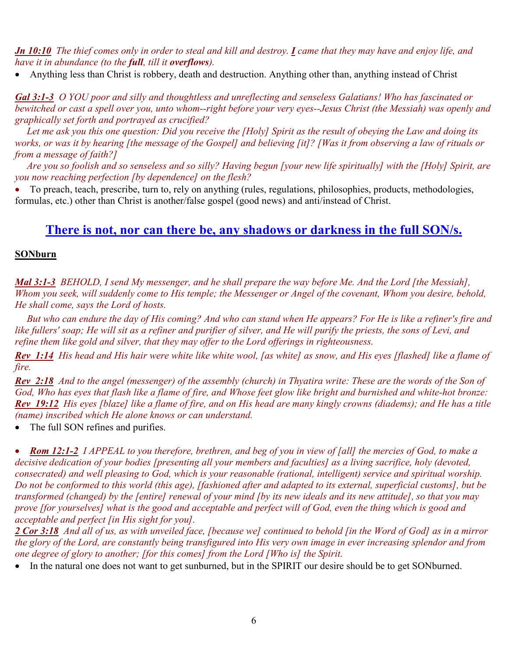*Jn 10:10 The thief comes only in order to steal and kill and destroy. I came that they may have and enjoy life, and have it in abundance (to the full, till it overflows).*

• Anything less than Christ is robbery, death and destruction. Anything other than, anything instead of Christ

*Gal 3:1-3 O YOU poor and silly and thoughtless and unreflecting and senseless Galatians! Who has fascinated or bewitched or cast a spell over you, unto whom--right before your very eyes--Jesus Christ (the Messiah) was openly and graphically set forth and portrayed as crucified?* 

 *Let me ask you this one question: Did you receive the [Holy] Spirit as the result of obeying the Law and doing its works, or was it by hearing [the message of the Gospel] and believing [it]? [Was it from observing a law of rituals or from a message of faith?]* 

 *Are you so foolish and so senseless and so silly? Having begun [your new life spiritually] with the [Holy] Spirit, are you now reaching perfection [by dependence] on the flesh?* 

• To preach, teach, prescribe, turn to, rely on anything (rules, regulations, philosophies, products, methodologies, formulas, etc.) other than Christ is another/false gospel (good news) and anti/instead of Christ.

# **There is not, nor can there be, any shadows or darkness in the full SON/s.**

### **SONburn**

*Mal 3:1-3 BEHOLD, I send My messenger, and he shall prepare the way before Me. And the Lord [the Messiah], Whom you seek, will suddenly come to His temple; the Messenger or Angel of the covenant, Whom you desire, behold, He shall come, says the Lord of hosts.* 

 *But who can endure the day of His coming? And who can stand when He appears? For He is like a refiner's fire and*  like fullers' soap; He will sit as a refiner and purifier of silver, and He will purify the priests, the sons of Levi, and *refine them like gold and silver, that they may offer to the Lord offerings in righteousness.* 

*Rev\_1:14 His head and His hair were white like white wool, [as white] as snow, and His eyes [flashed] like a flame of fire.* 

*Rev\_2:18 And to the angel (messenger) of the assembly (church) in Thyatira write: These are the words of the Son of God, Who has eyes that flash like a flame of fire, and Whose feet glow like bright and burnished and white-hot bronze: Rev\_19:12 His eyes [blaze] like a flame of fire, and on His head are many kingly crowns (diadems); and He has a title (name) inscribed which He alone knows or can understand.* 

• The full SON refines and purifies.

• *Rom 12:1-2 I APPEAL to you therefore, brethren, and beg of you in view of [all] the mercies of God, to make a decisive dedication of your bodies [presenting all your members and faculties] as a living sacrifice, holy (devoted, consecrated) and well pleasing to God, which is your reasonable (rational, intelligent) service and spiritual worship. Do not be conformed to this world (this age), [fashioned after and adapted to its external, superficial customs], but be transformed (changed) by the [entire] renewal of your mind [by its new ideals and its new attitude], so that you may prove [for yourselves] what is the good and acceptable and perfect will of God, even the thing which is good and acceptable and perfect [in His sight for you].* 

*2 Cor 3:18 And all of us, as with unveiled face, [because we] continued to behold [in the Word of God] as in a mirror the glory of the Lord, are constantly being transfigured into His very own image in ever increasing splendor and from one degree of glory to another; [for this comes] from the Lord [Who is] the Spirit.* 

• In the natural one does not want to get sunburned, but in the SPIRIT our desire should be to get SONburned.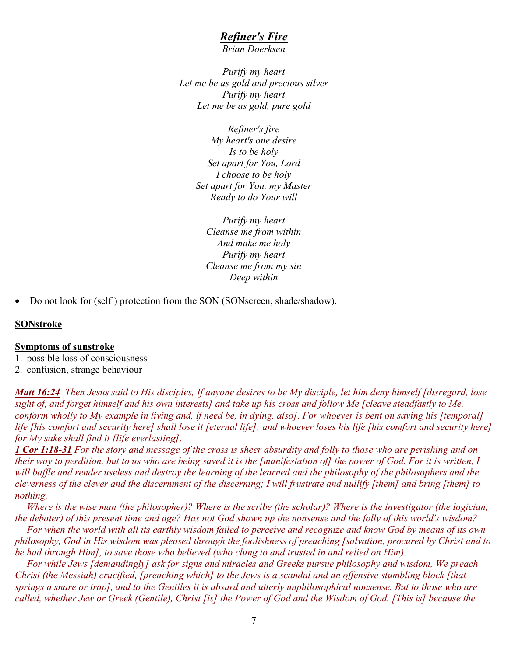## *Refiner's Fire*

*Brian Doerksen* 

*Purify my heart Let me be as gold and precious silver Purify my heart Let me be as gold, pure gold* 

> *Refiner's fire My heart's one desire Is to be holy Set apart for You, Lord I choose to be holy Set apart for You, my Master Ready to do Your will*

*Purify my heart Cleanse me from within And make me holy Purify my heart Cleanse me from my sin Deep within* 

• Do not look for (self ) protection from the SON (SONscreen, shade/shadow).

#### **SONstroke**

#### **Symptoms of sunstroke**

- 1. possible loss of consciousness
- 2. confusion, strange behaviour

*Matt 16:24 Then Jesus said to His disciples, If anyone desires to be My disciple, let him deny himself [disregard, lose sight of, and forget himself and his own interests] and take up his cross and follow Me [cleave steadfastly to Me, conform wholly to My example in living and, if need be, in dying, also]. For whoever is bent on saving his [temporal] life [his comfort and security here] shall lose it [eternal life]; and whoever loses his life [his comfort and security here] for My sake shall find it [life everlasting].* 

*1 Cor 1:18-31 For the story and message of the cross is sheer absurdity and folly to those who are perishing and on their way to perdition, but to us who are being saved it is the [manifestation of] the power of God. For it is written, I*  will baffle and render useless and destroy the learning of the learned and the philosophy of the philosophers and the *cleverness of the clever and the discernment of the discerning; I will frustrate and nullify [them] and bring [them] to nothing.* 

 *Where is the wise man (the philosopher)? Where is the scribe (the scholar)? Where is the investigator (the logician, the debater) of this present time and age? Has not God shown up the nonsense and the folly of this world's wisdom?* 

 *For when the world with all its earthly wisdom failed to perceive and recognize and know God by means of its own philosophy, God in His wisdom was pleased through the foolishness of preaching [salvation, procured by Christ and to be had through Him], to save those who believed (who clung to and trusted in and relied on Him).* 

 *For while Jews [demandingly] ask for signs and miracles and Greeks pursue philosophy and wisdom, We preach Christ (the Messiah) crucified, [preaching which] to the Jews is a scandal and an offensive stumbling block [that springs a snare or trap], and to the Gentiles it is absurd and utterly unphilosophical nonsense. But to those who are*  called, whether Jew or Greek (Gentile), Christ [is] the Power of God and the Wisdom of God. [This is] because the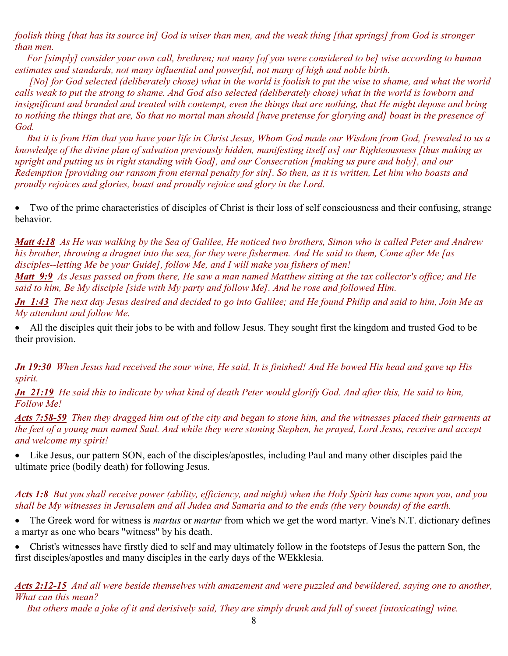*foolish thing [that has its source in] God is wiser than men, and the weak thing [that springs] from God is stronger than men.* 

 *For [simply] consider your own call, brethren; not many [of you were considered to be] wise according to human estimates and standards, not many influential and powerful, not many of high and noble birth.* 

 *[No] for God selected (deliberately chose) what in the world is foolish to put the wise to shame, and what the world*  calls weak to put the strong to shame. And God also selected (deliberately chose) what in the world is lowborn and *insignificant and branded and treated with contempt, even the things that are nothing, that He might depose and bring to nothing the things that are, So that no mortal man should [have pretense for glorying and] boast in the presence of God.* 

 *But it is from Him that you have your life in Christ Jesus, Whom God made our Wisdom from God, [revealed to us a knowledge of the divine plan of salvation previously hidden, manifesting itself as] our Righteousness [thus making us upright and putting us in right standing with God], and our Consecration [making us pure and holy], and our Redemption [providing our ransom from eternal penalty for sin]. So then, as it is written, Let him who boasts and proudly rejoices and glories, boast and proudly rejoice and glory in the Lord.* 

• Two of the prime characteristics of disciples of Christ is their loss of self consciousness and their confusing, strange behavior.

*Matt 4:18 As He was walking by the Sea of Galilee, He noticed two brothers, Simon who is called Peter and Andrew his brother, throwing a dragnet into the sea, for they were fishermen. And He said to them, Come after Me [as disciples--letting Me be your Guide], follow Me, and I will make you fishers of men!* 

*Matt\_9:9 As Jesus passed on from there, He saw a man named Matthew sitting at the tax collector's office; and He said to him, Be My disciple [side with My party and follow Me]. And he rose and followed Him.* 

*Jn\_1:43 The next day Jesus desired and decided to go into Galilee; and He found Philip and said to him, Join Me as My attendant and follow Me.* 

• All the disciples quit their jobs to be with and follow Jesus. They sought first the kingdom and trusted God to be their provision.

*Jn 19:30 When Jesus had received the sour wine, He said, It is finished! And He bowed His head and gave up His spirit.* 

*Jn\_21:19 He said this to indicate by what kind of death Peter would glorify God. And after this, He said to him, Follow Me!* 

*Acts 7:58-59 Then they dragged him out of the city and began to stone him, and the witnesses placed their garments at the feet of a young man named Saul. And while they were stoning Stephen, he prayed, Lord Jesus, receive and accept and welcome my spirit!* 

• Like Jesus, our pattern SON, each of the disciples/apostles, including Paul and many other disciples paid the ultimate price (bodily death) for following Jesus.

## *Acts 1:8 But you shall receive power (ability, efficiency, and might) when the Holy Spirit has come upon you, and you shall be My witnesses in Jerusalem and all Judea and Samaria and to the ends (the very bounds) of the earth.*

• The Greek word for witness is *martus* or *martur* from which we get the word martyr. Vine's N.T. dictionary defines a martyr as one who bears "witness" by his death.

• Christ's witnesses have firstly died to self and may ultimately follow in the footsteps of Jesus the pattern Son, the first disciples/apostles and many disciples in the early days of the WEkklesia.

*Acts 2:12-15 And all were beside themselves with amazement and were puzzled and bewildered, saying one to another, What can this mean?* 

 *But others made a joke of it and derisively said, They are simply drunk and full of sweet [intoxicating] wine.*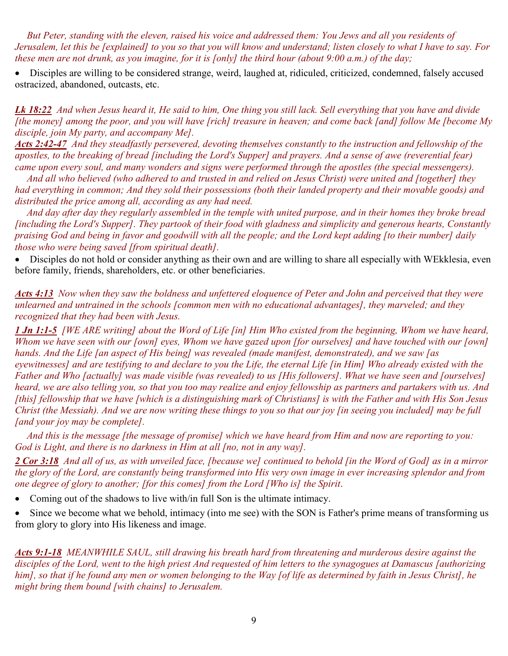*But Peter, standing with the eleven, raised his voice and addressed them: You Jews and all you residents of Jerusalem, let this be [explained] to you so that you will know and understand; listen closely to what I have to say. For these men are not drunk, as you imagine, for it is [only] the third hour (about 9:00 a.m.) of the day;* 

• Disciples are willing to be considered strange, weird, laughed at, ridiculed, criticized, condemned, falsely accused ostracized, abandoned, outcasts, etc.

*Lk 18:22 And when Jesus heard it, He said to him, One thing you still lack. Sell everything that you have and divide [the money] among the poor, and you will have [rich] treasure in heaven; and come back [and] follow Me [become My disciple, join My party, and accompany Me].* 

*Acts 2:42-47 And they steadfastly persevered, devoting themselves constantly to the instruction and fellowship of the apostles, to the breaking of bread [including the Lord's Supper] and prayers. And a sense of awe (reverential fear)*  came upon every soul, and many wonders and signs were performed through the apostles (the special messengers).

 *And all who believed (who adhered to and trusted in and relied on Jesus Christ) were united and [together] they had everything in common; And they sold their possessions (both their landed property and their movable goods) and distributed the price among all, according as any had need.* 

 *And day after day they regularly assembled in the temple with united purpose, and in their homes they broke bread [including the Lord's Supper]. They partook of their food with gladness and simplicity and generous hearts, Constantly praising God and being in favor and goodwill with all the people; and the Lord kept adding [to their number] daily those who were being saved [from spiritual death].* 

• Disciples do not hold or consider anything as their own and are willing to share all especially with WEkklesia, even before family, friends, shareholders, etc. or other beneficiaries.

*Acts 4:13 Now when they saw the boldness and unfettered eloquence of Peter and John and perceived that they were unlearned and untrained in the schools [common men with no educational advantages], they marveled; and they recognized that they had been with Jesus.* 

*1 Jn 1:1-5 [WE ARE writing] about the Word of Life [in] Him Who existed from the beginning, Whom we have heard, Whom we have seen with our [own] eyes, Whom we have gazed upon [for ourselves] and have touched with our [own] hands. And the Life [an aspect of His being] was revealed (made manifest, demonstrated), and we saw [as eyewitnesses] and are testifying to and declare to you the Life, the eternal Life [in Him] Who already existed with the Father and Who [actually] was made visible (was revealed) to us [His followers]. What we have seen and [ourselves] heard, we are also telling you, so that you too may realize and enjoy fellowship as partners and partakers with us. And [this] fellowship that we have [which is a distinguishing mark of Christians] is with the Father and with His Son Jesus Christ (the Messiah). And we are now writing these things to you so that our joy [in seeing you included] may be full [and your joy may be complete].* 

 *And this is the message [the message of promise] which we have heard from Him and now are reporting to you: God is Light, and there is no darkness in Him at all [no, not in any way].* 

*2 Cor 3:18 And all of us, as with unveiled face, [because we] continued to behold [in the Word of God] as in a mirror the glory of the Lord, are constantly being transformed into His very own image in ever increasing splendor and from one degree of glory to another; [for this comes] from the Lord [Who is] the Spirit*.

- Coming out of the shadows to live with/in full Son is the ultimate intimacy.
- Since we become what we behold, intimacy (into me see) with the SON is Father's prime means of transforming us from glory to glory into His likeness and image.

*Acts 9:1-18 MEANWHILE SAUL, still drawing his breath hard from threatening and murderous desire against the disciples of the Lord, went to the high priest And requested of him letters to the synagogues at Damascus [authorizing him], so that if he found any men or women belonging to the Way [of life as determined by faith in Jesus Christ], he might bring them bound [with chains] to Jerusalem.*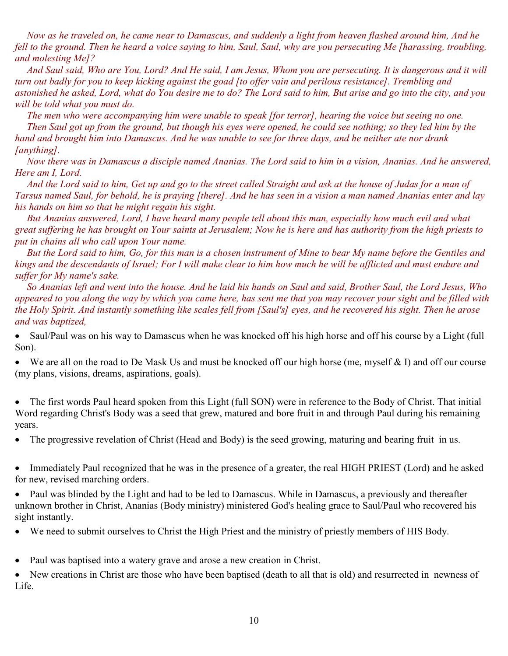*Now as he traveled on, he came near to Damascus, and suddenly a light from heaven flashed around him, And he fell to the ground. Then he heard a voice saying to him, Saul, Saul, why are you persecuting Me [harassing, troubling, and molesting Me]?* 

 *And Saul said, Who are You, Lord? And He said, I am Jesus, Whom you are persecuting. It is dangerous and it will turn out badly for you to keep kicking against the goad [to offer vain and perilous resistance]. Trembling and astonished he asked, Lord, what do You desire me to do? The Lord said to him, But arise and go into the city, and you will be told what you must do.* 

 *The men who were accompanying him were unable to speak [for terror], hearing the voice but seeing no one.* 

 *Then Saul got up from the ground, but though his eyes were opened, he could see nothing; so they led him by the hand and brought him into Damascus. And he was unable to see for three days, and he neither ate nor drank [anything].* 

 *Now there was in Damascus a disciple named Ananias. The Lord said to him in a vision, Ananias. And he answered, Here am I, Lord.* 

 *And the Lord said to him, Get up and go to the street called Straight and ask at the house of Judas for a man of Tarsus named Saul, for behold, he is praying [there]. And he has seen in a vision a man named Ananias enter and lay his hands on him so that he might regain his sight.* 

 *But Ananias answered, Lord, I have heard many people tell about this man, especially how much evil and what great suffering he has brought on Your saints at Jerusalem; Now he is here and has authority from the high priests to put in chains all who call upon Your name.* 

 *But the Lord said to him, Go, for this man is a chosen instrument of Mine to bear My name before the Gentiles and kings and the descendants of Israel; For I will make clear to him how much he will be afflicted and must endure and suffer for My name's sake.* 

 *So Ananias left and went into the house. And he laid his hands on Saul and said, Brother Saul, the Lord Jesus, Who appeared to you along the way by which you came here, has sent me that you may recover your sight and be filled with the Holy Spirit. And instantly something like scales fell from [Saul's] eyes, and he recovered his sight. Then he arose and was baptized,* 

• Saul/Paul was on his way to Damascus when he was knocked off his high horse and off his course by a Light (full Son).

• We are all on the road to De Mask Us and must be knocked off our high horse (me, myself  $\&$  I) and off our course (my plans, visions, dreams, aspirations, goals).

• The first words Paul heard spoken from this Light (full SON) were in reference to the Body of Christ. That initial Word regarding Christ's Body was a seed that grew, matured and bore fruit in and through Paul during his remaining years.

• The progressive revelation of Christ (Head and Body) is the seed growing, maturing and bearing fruit in us.

• Immediately Paul recognized that he was in the presence of a greater, the real HIGH PRIEST (Lord) and he asked for new, revised marching orders.

• Paul was blinded by the Light and had to be led to Damascus. While in Damascus, a previously and thereafter unknown brother in Christ, Ananias (Body ministry) ministered God's healing grace to Saul/Paul who recovered his sight instantly.

• We need to submit ourselves to Christ the High Priest and the ministry of priestly members of HIS Body.

• Paul was baptised into a watery grave and arose a new creation in Christ.

• New creations in Christ are those who have been baptised (death to all that is old) and resurrected in newness of Life.